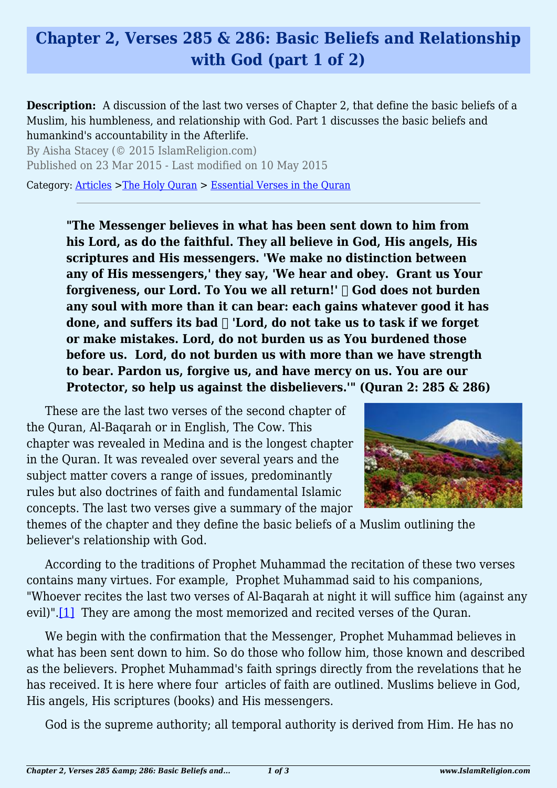## **Chapter 2, Verses 285 & 286: Basic Beliefs and Relationship with God (part 1 of 2)**

**Description:** A discussion of the last two verses of Chapter 2, that define the basic beliefs of a Muslim, his humbleness, and relationship with God. Part 1 discusses the basic beliefs and humankind's accountability in the Afterlife.

By Aisha Stacey (© 2015 IslamReligion.com) Published on 23 Mar 2015 - Last modified on 10 May 2015

Category: [Articles](http://www.islamreligion.com/articles/) >[The Holy Quran](http://www.islamreligion.com/category/75/) > [Essential Verses in the Quran](http://www.islamreligion.com/category/1129/)

**"The Messenger believes in what has been sent down to him from his Lord, as do the faithful. They all believe in God, His angels, His scriptures and His messengers. 'We make no distinction between any of His messengers,' they say, 'We hear and obey. Grant us Your** forgiveness, our Lord. To You we all return!' □ God does not burden **any soul with more than it can bear: each gains whatever good it has done, and suffers its bad ─ 'Lord, do not take us to task if we forget or make mistakes. Lord, do not burden us as You burdened those before us. Lord, do not burden us with more than we have strength to bear. Pardon us, forgive us, and have mercy on us. You are our Protector, so help us against the disbelievers.'" (Quran 2: 285 & 286)**

These are the last two verses of the second chapter of the Quran, Al-Baqarah or in English, The Cow. This chapter was revealed in Medina and is the longest chapter in the Quran. It was revealed over several years and the subject matter covers a range of issues, predominantly rules but also doctrines of faith and fundamental Islamic concepts. The last two verses give a summary of the major



themes of the chapter and they define the basic beliefs of a Muslim outlining the believer's relationship with God.

According to the traditions of Prophet Muhammad the recitation of these two verses contains many virtues. For example, Prophet Muhammad said to his companions, "Whoever recites the last two verses of Al-Baqarah at night it will suffice him (against any evil)".<sup>[1]</sup> They are among the most memorized and recited verses of the Quran.

<span id="page-0-0"></span>We begin with the confirmation that the Messenger, Prophet Muhammad believes in what has been sent down to him. So do those who follow him, those known and described as the believers. Prophet Muhammad's faith springs directly from the revelations that he has received. It is here where four articles of faith are outlined. Muslims believe in God, His angels, His scriptures (books) and His messengers.

God is the supreme authority; all temporal authority is derived from Him. He has no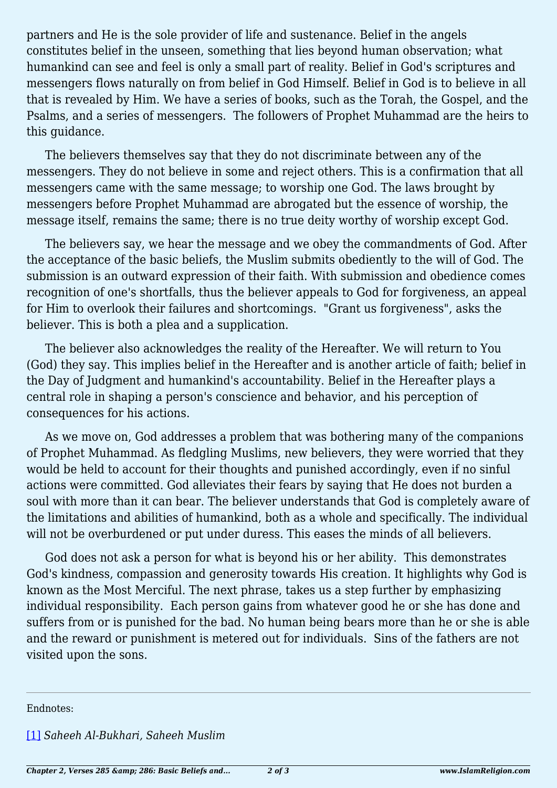partners and He is the sole provider of life and sustenance. Belief in the angels constitutes belief in the unseen, something that lies beyond human observation; what humankind can see and feel is only a small part of reality. Belief in God's scriptures and messengers flows naturally on from belief in God Himself. Belief in God is to believe in all that is revealed by Him. We have a series of books, such as the Torah, the Gospel, and the Psalms, and a series of messengers. The followers of Prophet Muhammad are the heirs to this guidance.

The believers themselves say that they do not discriminate between any of the messengers. They do not believe in some and reject others. This is a confirmation that all messengers came with the same message; to worship one God. The laws brought by messengers before Prophet Muhammad are abrogated but the essence of worship, the message itself, remains the same; there is no true deity worthy of worship except God.

The believers say, we hear the message and we obey the commandments of God. After the acceptance of the basic beliefs, the Muslim submits obediently to the will of God. The submission is an outward expression of their faith. With submission and obedience comes recognition of one's shortfalls, thus the believer appeals to God for forgiveness, an appeal for Him to overlook their failures and shortcomings. "Grant us forgiveness", asks the believer. This is both a plea and a supplication.

The believer also acknowledges the reality of the Hereafter. We will return to You (God) they say. This implies belief in the Hereafter and is another article of faith; belief in the Day of Judgment and humankind's accountability. Belief in the Hereafter plays a central role in shaping a person's conscience and behavior, and his perception of consequences for his actions.

As we move on, God addresses a problem that was bothering many of the companions of Prophet Muhammad. As fledgling Muslims, new believers, they were worried that they would be held to account for their thoughts and punished accordingly, even if no sinful actions were committed. God alleviates their fears by saying that He does not burden a soul with more than it can bear. The believer understands that God is completely aware of the limitations and abilities of humankind, both as a whole and specifically. The individual will not be overburdened or put under duress. This eases the minds of all believers.

God does not ask a person for what is beyond his or her ability. This demonstrates God's kindness, compassion and generosity towards His creation. It highlights why God is known as the Most Merciful. The next phrase, takes us a step further by emphasizing individual responsibility. Each person gains from whatever good he or she has done and suffers from or is punished for the bad. No human being bears more than he or she is able and the reward or punishment is metered out for individuals. Sins of the fathers are not visited upon the sons.

<span id="page-1-0"></span>Endnotes:

[\[1\]](#page-0-0) *Saheeh Al-Bukhari, Saheeh Muslim*